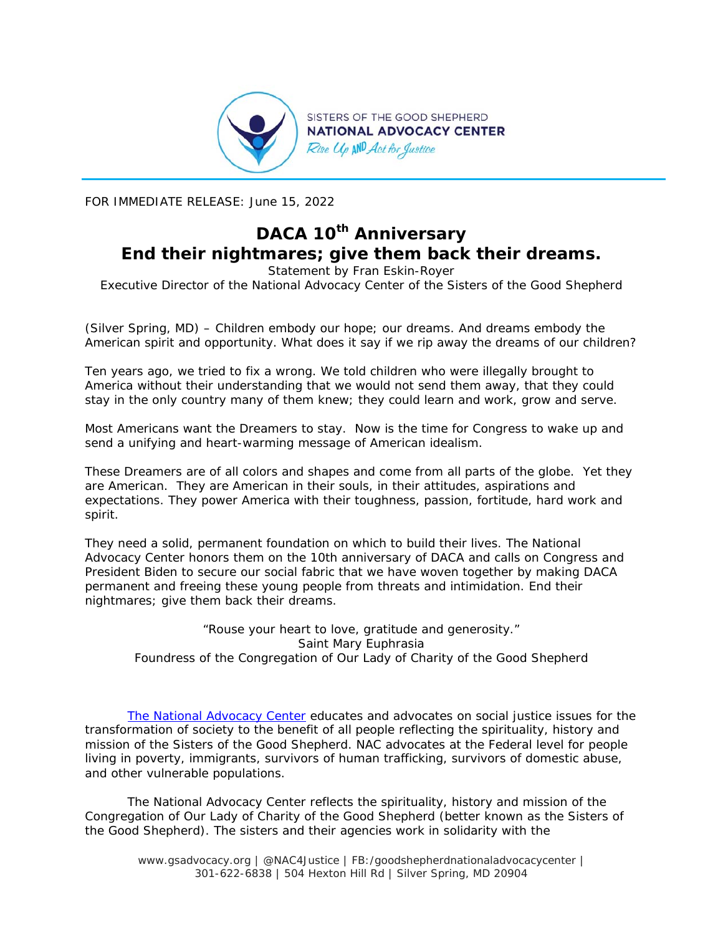

FOR IMMEDIATE RELEASE: June 15, 2022

## **DACA 10th Anniversary End their nightmares; give them back their dreams.**

*Statement by Fran Eskin-Royer Executive Director of the National Advocacy Center of the Sisters of the Good Shepherd* 

(Silver Spring, MD) – Children embody our hope; our dreams. And dreams embody the American spirit and opportunity. What does it say if we rip away the dreams of our children?

Ten years ago, we tried to fix a wrong. We told children who were illegally brought to America without their understanding that we would not send them away, that they could stay in the only country many of them knew; they could learn and work, grow and serve.

Most Americans want the Dreamers to stay. Now is the time for Congress to wake up and send a unifying and heart-warming message of American idealism.

These Dreamers are of all colors and shapes and come from all parts of the globe. Yet they are American. They are American in their souls, in their attitudes, aspirations and expectations. They power America with their toughness, passion, fortitude, hard work and spirit.

They need a solid, permanent foundation on which to build their lives. The National Advocacy Center honors them on the 10th anniversary of DACA and calls on Congress and President Biden to secure our social fabric that we have woven together by making DACA permanent and freeing these young people from threats and intimidation. End their nightmares; give them back their dreams.

*"Rouse your heart to love, gratitude and generosity." Saint Mary Euphrasia Foundress of the Congregation of Our Lady of Charity of the Good Shepherd* 

*The National Advocacy Center educates and advocates on social justice issues for the transformation of society to the benefit of all people reflecting the spirituality, history and mission of the Sisters of the Good Shepherd. NAC advocates at the Federal level for people living in poverty, immigrants, survivors of human trafficking, survivors of domestic abuse, and other vulnerable populations.* 

*The National Advocacy Center reflects the spirituality, history and mission of the Congregation of Our Lady of Charity of the Good Shepherd (better known as the Sisters of the Good Shepherd). The sisters and their agencies work in solidarity with the* 

www.gsadvocacy.org | @NAC4Justice | FB:/goodshepherdnationaladvocacycenter | 301-622-6838 | 504 Hexton Hill Rd | Silver Spring, MD 20904